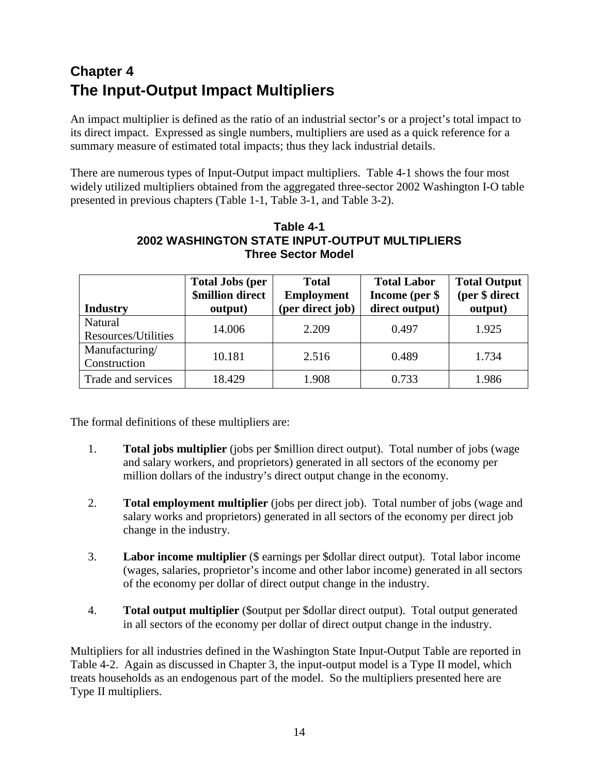## **Chapter 4 The Input-Output Impact Multipliers**

An impact multiplier is defined as the ratio of an industrial sector's or a project's total impact to its direct impact. Expressed as single numbers, multipliers are used as a quick reference for a summary measure of estimated total impacts; thus they lack industrial details.

There are numerous types of Input-Output impact multipliers. Table 4-1 shows the four most widely utilized multipliers obtained from the aggregated three-sector 2002 Washington I-O table presented in previous chapters (Table 1-1, Table 3-1, and Table 3-2).

| Table 4-1                                             |
|-------------------------------------------------------|
| <b>2002 WASHINGTON STATE INPUT-OUTPUT MULTIPLIERS</b> |
| <b>Three Sector Model</b>                             |

|                     | <b>Total Jobs (per</b>  | <b>Total</b>      | <b>Total Labor</b> | <b>Total Output</b> |  |
|---------------------|-------------------------|-------------------|--------------------|---------------------|--|
|                     | <b>\$million direct</b> | <b>Employment</b> | Income (per \$     | (per \$ direct      |  |
| <b>Industry</b>     | output)                 | (per direct job)  | direct output)     | output)             |  |
| Natural             | 14.006                  | 2.209             | 0.497              | 1.925               |  |
| Resources/Utilities |                         |                   |                    |                     |  |
| Manufacturing/      | 10.181                  | 2.516             | 0.489              | 1.734               |  |
| Construction        |                         |                   |                    |                     |  |
| Trade and services  | 18.429                  | 1.908             | 0.733              | 1.986               |  |

The formal definitions of these multipliers are:

- 1. **Total jobs multiplier** (jobs per \$million direct output). Total number of jobs (wage and salary workers, and proprietors) generated in all sectors of the economy per million dollars of the industry's direct output change in the economy.
- 2. **Total employment multiplier** (jobs per direct job). Total number of jobs (wage and salary works and proprietors) generated in all sectors of the economy per direct job change in the industry.
- 3. **Labor income multiplier** (\$ earnings per \$dollar direct output). Total labor income (wages, salaries, proprietor's income and other labor income) generated in all sectors of the economy per dollar of direct output change in the industry.
- 4. **Total output multiplier** (\$output per \$dollar direct output). Total output generated in all sectors of the economy per dollar of direct output change in the industry.

Multipliers for all industries defined in the Washington State Input-Output Table are reported in Table 4-2. Again as discussed in Chapter 3, the input-output model is a Type II model, which treats households as an endogenous part of the model. So the multipliers presented here are Type II multipliers.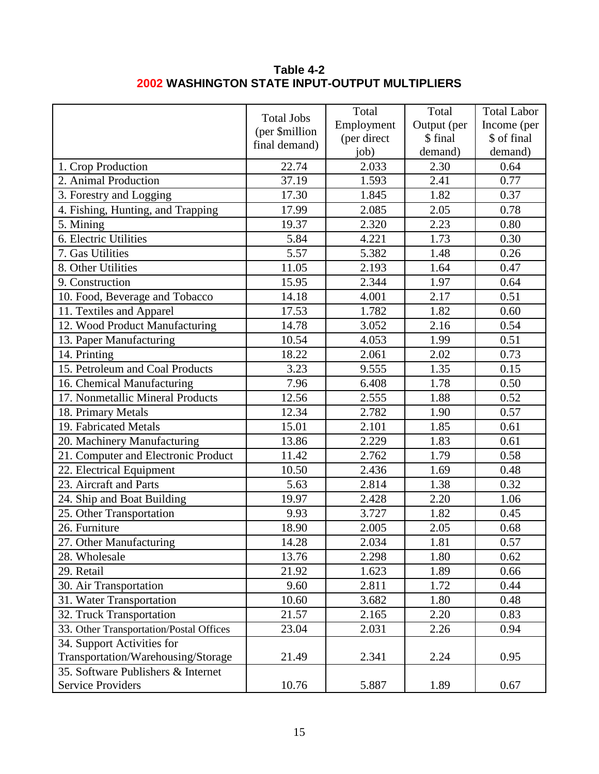## **Table 4-2 2002 WASHINGTON STATE INPUT-OUTPUT MULTIPLIERS**

|                                         | <b>Total Jobs</b><br>(per \$million<br>final demand) | Total<br>Employment<br>(per direct<br>job) | Total<br>Output (per<br>\$ final<br>demand) | <b>Total Labor</b><br>Income (per<br>\$ of final<br>demand) |
|-----------------------------------------|------------------------------------------------------|--------------------------------------------|---------------------------------------------|-------------------------------------------------------------|
| 1. Crop Production                      | 22.74                                                | 2.033                                      | 2.30                                        | 0.64                                                        |
| 2. Animal Production                    | 37.19                                                | 1.593                                      | 2.41                                        | 0.77                                                        |
| 3. Forestry and Logging                 | 17.30                                                | 1.845                                      | 1.82                                        | 0.37                                                        |
| 4. Fishing, Hunting, and Trapping       | 17.99                                                | 2.085                                      | 2.05                                        | 0.78                                                        |
| 5. Mining                               | 19.37                                                | 2.320                                      | 2.23                                        | 0.80                                                        |
| 6. Electric Utilities                   | 5.84                                                 | 4.221                                      | 1.73                                        | 0.30                                                        |
| 7. Gas Utilities                        | 5.57                                                 | 5.382                                      | 1.48                                        | 0.26                                                        |
| 8. Other Utilities                      | 11.05                                                | 2.193                                      | 1.64                                        | 0.47                                                        |
| 9. Construction                         | 15.95                                                | 2.344                                      | 1.97                                        | 0.64                                                        |
| 10. Food, Beverage and Tobacco          | 14.18                                                | 4.001                                      | 2.17                                        | 0.51                                                        |
| 11. Textiles and Apparel                | 17.53                                                | 1.782                                      | 1.82                                        | 0.60                                                        |
| 12. Wood Product Manufacturing          | 14.78                                                | 3.052                                      | 2.16                                        | 0.54                                                        |
| 13. Paper Manufacturing                 | 10.54                                                | 4.053                                      | 1.99                                        | 0.51                                                        |
| 14. Printing                            | 18.22                                                | 2.061                                      | 2.02                                        | 0.73                                                        |
| 15. Petroleum and Coal Products         | 3.23                                                 | 9.555                                      | 1.35                                        | 0.15                                                        |
| 16. Chemical Manufacturing              | 7.96                                                 | 6.408                                      | 1.78                                        | 0.50                                                        |
| 17. Nonmetallic Mineral Products        | 12.56                                                | 2.555                                      | 1.88                                        | 0.52                                                        |
| 18. Primary Metals                      | 12.34                                                | 2.782                                      | 1.90                                        | 0.57                                                        |
| 19. Fabricated Metals                   | 15.01                                                | 2.101                                      | 1.85                                        | 0.61                                                        |
| 20. Machinery Manufacturing             | 13.86                                                | 2.229                                      | 1.83                                        | 0.61                                                        |
| 21. Computer and Electronic Product     | 11.42                                                | 2.762                                      | 1.79                                        | 0.58                                                        |
| 22. Electrical Equipment                | 10.50                                                | 2.436                                      | 1.69                                        | 0.48                                                        |
| 23. Aircraft and Parts                  | 5.63                                                 | 2.814                                      | 1.38                                        | 0.32                                                        |
| 24. Ship and Boat Building              | 19.97                                                | 2.428                                      | 2.20                                        | 1.06                                                        |
| 25. Other Transportation                | 9.93                                                 | 3.727                                      | 1.82                                        | 0.45                                                        |
| 26. Furniture                           | 18.90                                                | 2.005                                      | 2.05                                        | 0.68                                                        |
| 27. Other Manufacturing                 | 14.28                                                | 2.034                                      | 1.81                                        | 0.57                                                        |
| 28. Wholesale                           | 13.76                                                | 2.298                                      | 1.80                                        | 0.62                                                        |
| 29. Retail                              | 21.92                                                | 1.623                                      | 1.89                                        | 0.66                                                        |
| 30. Air Transportation                  | 9.60                                                 | 2.811                                      | 1.72                                        | 0.44                                                        |
| 31. Water Transportation                | 10.60                                                | 3.682                                      | 1.80                                        | 0.48                                                        |
| 32. Truck Transportation                | 21.57                                                | 2.165                                      | 2.20                                        | 0.83                                                        |
| 33. Other Transportation/Postal Offices | 23.04                                                | 2.031                                      | 2.26                                        | 0.94                                                        |
| 34. Support Activities for              |                                                      |                                            |                                             |                                                             |
| Transportation/Warehousing/Storage      | 21.49                                                | 2.341                                      | 2.24                                        | 0.95                                                        |
| 35. Software Publishers & Internet      |                                                      |                                            |                                             |                                                             |
| Service Providers                       | 10.76                                                | 5.887                                      | 1.89                                        | 0.67                                                        |